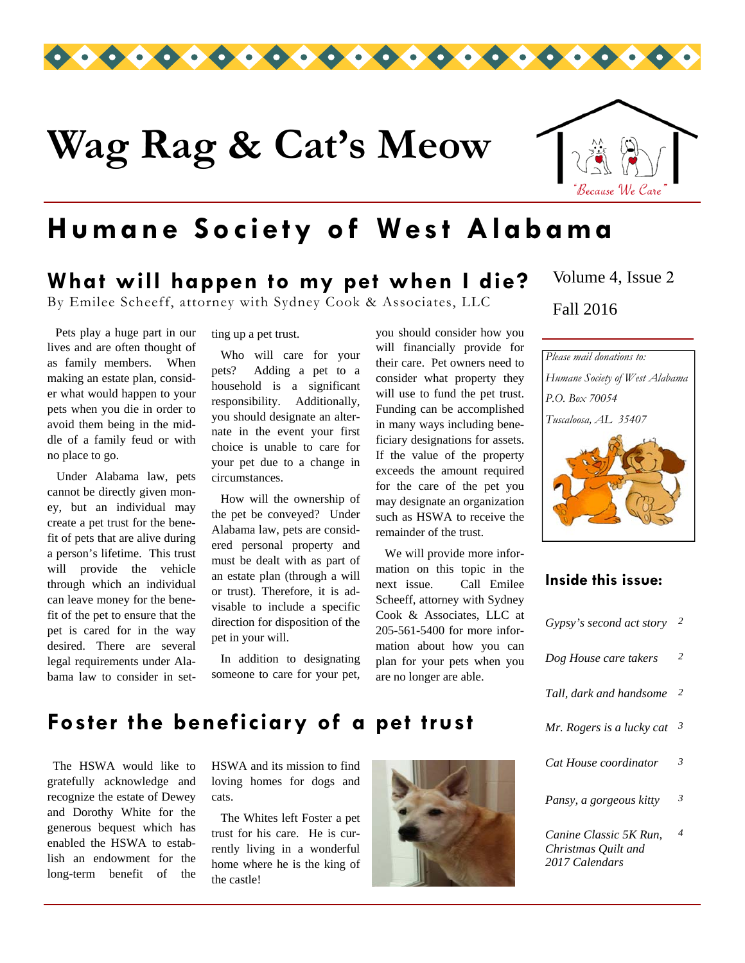

# **Wag Rag & Cat's Meow**



### **Humane Society of West Alabama**

### **What will happen to my pet when I die?**

By Emilee Scheeff, attorney with Sydney Cook & Associates, LLC

 Pets play a huge part in our lives and are often thought of as family members. When making an estate plan, consider what would happen to your pets when you die in order to avoid them being in the middle of a family feud or with no place to go.

 Under Alabama law, pets cannot be directly given money, but an individual may create a pet trust for the benefit of pets that are alive during a person's lifetime. This trust will provide the vehicle through which an individual can leave money for the benefit of the pet to ensure that the pet is cared for in the way desired. There are several legal requirements under Alabama law to consider in setting up a pet trust.

 Who will care for your pets? Adding a pet to a household is a significant responsibility. Additionally, you should designate an alternate in the event your first choice is unable to care for your pet due to a change in circumstances.

 How will the ownership of the pet be conveyed? Under Alabama law, pets are considered personal property and must be dealt with as part of an estate plan (through a will or trust). Therefore, it is advisable to include a specific direction for disposition of the pet in your will.

 In addition to designating someone to care for your pet, you should consider how you will financially provide for their care. Pet owners need to consider what property they will use to fund the pet trust. Funding can be accomplished in many ways including beneficiary designations for assets. If the value of the property exceeds the amount required for the care of the pet you may designate an organization such as HSWA to receive the remainder of the trust.

 We will provide more information on this topic in the next issue. Call Emilee Scheeff, attorney with Sydney Cook & Associates, LLC at 205-561-5400 for more information about how you can plan for your pets when you are no longer are able.

Fall 2016 Volume 4, Issue 2



#### **Inside this issue:**

| Gypsy's second act story                                        | 2              |
|-----------------------------------------------------------------|----------------|
| Dog House care takers                                           | $\overline{2}$ |
| Tall, dark and handsome                                         | 2              |
| Mr. Rogers is a lucky cat                                       | 3              |
| Cat House coordinator                                           | 3              |
| Pansy, a gorgeous kitty                                         | 3              |
| Canine Classic 5K Run.<br>Christmas Quilt and<br>2017 Calendars | 4              |

#### **Foster the beneficiary of a pet trust**

 The HSWA would like to gratefully acknowledge and recognize the estate of Dewey and Dorothy White for the generous bequest which has enabled the HSWA to establish an endowment for the long-term benefit of the HSWA and its mission to find loving homes for dogs and cats.

 The Whites left Foster a pet trust for his care. He is currently living in a wonderful home where he is the king of the castle!

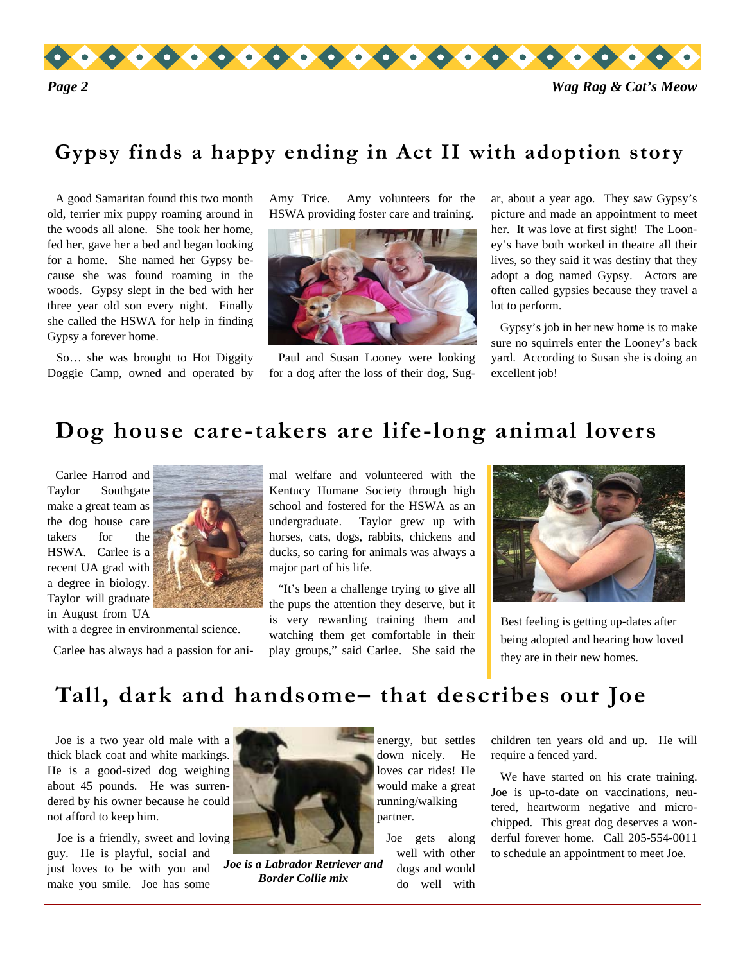

#### **Gypsy finds a happy ending in Act II with adoption story**

 A good Samaritan found this two month old, terrier mix puppy roaming around in the woods all alone. She took her home, fed her, gave her a bed and began looking for a home. She named her Gypsy because she was found roaming in the woods. Gypsy slept in the bed with her three year old son every night. Finally she called the HSWA for help in finding Gypsy a forever home.

 So… she was brought to Hot Diggity Doggie Camp, owned and operated by Amy Trice. Amy volunteers for the HSWA providing foster care and training.



 Paul and Susan Looney were looking for a dog after the loss of their dog, Sug-

ar, about a year ago. They saw Gypsy's picture and made an appointment to meet her. It was love at first sight! The Looney's have both worked in theatre all their lives, so they said it was destiny that they adopt a dog named Gypsy. Actors are often called gypsies because they travel a lot to perform.

 Gypsy's job in her new home is to make sure no squirrels enter the Looney's back yard. According to Susan she is doing an excellent job!

#### **Dog house care-takers are life-long animal lovers**

 Carlee Harrod and Taylor Southgate make a great team as the dog house care takers for the HSWA. Carlee is a recent UA grad with a degree in biology. Taylor will graduate in August from UA

with a degree in environmental science.

Carlee has always had a passion for ani-

mal welfare and volunteered with the Kentucy Humane Society through high school and fostered for the HSWA as an undergraduate. Taylor grew up with horses, cats, dogs, rabbits, chickens and ducks, so caring for animals was always a major part of his life.

 "It's been a challenge trying to give all the pups the attention they deserve, but it is very rewarding training them and watching them get comfortable in their play groups," said Carlee. She said the



Best feeling is getting up-dates after being adopted and hearing how loved they are in their new homes.

### **Tall, dark and handsome– that describes our Joe**

 Joe is a two year old male with a thick black coat and white markings. He is a good-sized dog weighing about 45 pounds. He was surrendered by his owner because he could not afford to keep him.

 Joe is a friendly, sweet and loving guy. He is playful, social and just loves to be with you and make you smile. Joe has some



*Joe is a Labrador Retriever and Border Collie mix* 

energy, but settles down nicely. He loves car rides! He would make a great running/walking partner.

 Joe gets along well with other dogs and would do well with

children ten years old and up. He will require a fenced yard.

 We have started on his crate training. Joe is up-to-date on vaccinations, neutered, heartworm negative and microchipped. This great dog deserves a wonderful forever home. Call 205-554-0011 to schedule an appointment to meet Joe.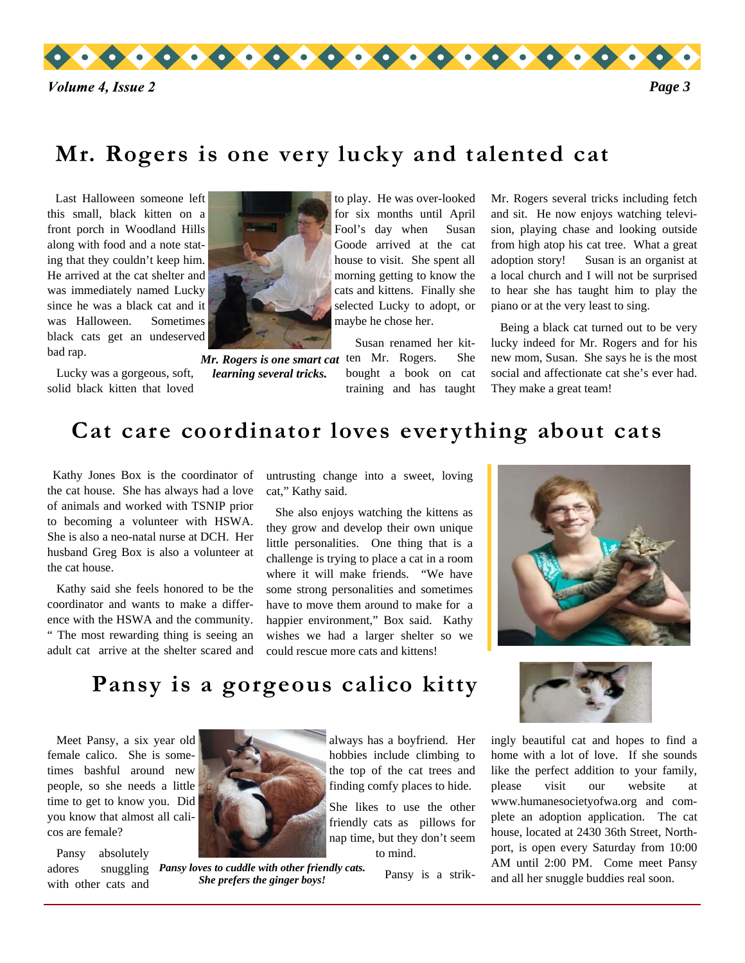

### **Mr. Rogers is one very lucky and talented cat**

 Last Halloween someone left this small, black kitten on a front porch in Woodland Hills along with food and a note stating that they couldn't keep him. He arrived at the cat shelter and was immediately named Lucky since he was a black cat and it was Halloween. Sometimes black cats get an undeserved bad rap.

solid black kitten that loved



 Lucky was a gorgeous, soft, *learning several tricks.* 

to play. He was over-looked for six months until April Fool's day when Susan Goode arrived at the cat house to visit. She spent all morning getting to know the cats and kittens. Finally she selected Lucky to adopt, or maybe he chose her.

 Susan renamed her kit-Mr. Rogers is one smart cat ten Mr. Rogers. She bought a book on cat training and has taught

Mr. Rogers several tricks including fetch and sit. He now enjoys watching television, playing chase and looking outside from high atop his cat tree. What a great adoption story! Susan is an organist at a local church and I will not be surprised to hear she has taught him to play the piano or at the very least to sing.

 Being a black cat turned out to be very lucky indeed for Mr. Rogers and for his new mom, Susan. She says he is the most social and affectionate cat she's ever had. They make a great team!

### **Cat care coordinator loves everything about cats**

 Kathy Jones Box is the coordinator of the cat house. She has always had a love of animals and worked with TSNIP prior to becoming a volunteer with HSWA. She is also a neo-natal nurse at DCH. Her husband Greg Box is also a volunteer at the cat house.

 Kathy said she feels honored to be the coordinator and wants to make a difference with the HSWA and the community. " The most rewarding thing is seeing an adult cat arrive at the shelter scared and

untrusting change into a sweet, loving cat," Kathy said.

 She also enjoys watching the kittens as they grow and develop their own unique little personalities. One thing that is a challenge is trying to place a cat in a room where it will make friends. "We have some strong personalities and sometimes have to move them around to make for a happier environment," Box said. Kathy wishes we had a larger shelter so we could rescue more cats and kittens!



### **Pansy is a gorgeous calico kitty**

 Meet Pansy, a six year old female calico. She is sometimes bashful around new people, so she needs a little time to get to know you. Did you know that almost all calicos are female?

 Pansy absolutely adores snuggling with other cats and



*Pansy loves to cuddle with other friendly cats. She prefers the ginger boys!* 

always has a boyfriend. Her hobbies include climbing to the top of the cat trees and finding comfy places to hide.

She likes to use the other friendly cats as pillows for nap time, but they don't seem to mind.

Pansy is a strik-



ingly beautiful cat and hopes to find a home with a lot of love. If she sounds like the perfect addition to your family, please visit our website at www.humanesocietyofwa.org and complete an adoption application. The cat house, located at 2430 36th Street, Northport, is open every Saturday from 10:00 AM until 2:00 PM. Come meet Pansy and all her snuggle buddies real soon.